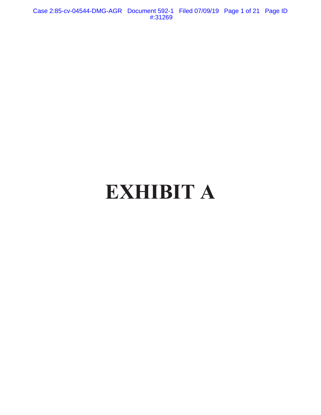Case 2:85-cv-04544-DMG-AGR Document 592-1 Filed 07/09/19 Page 1 of 21 Page ID #:31269

# **EXHIBIT A**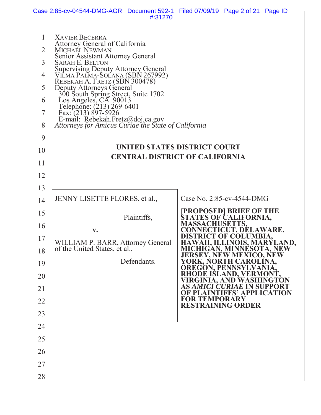|                                                                   | Case 2:85-cv-04544-DMG-AGR Document 592-1 Filed 07/09/19 Page 2 of 21 Page ID                                                                                                                                                                                                                                                                                                                                                                                                                                                  | #:31270 |                                                                                   |                                                  |  |
|-------------------------------------------------------------------|--------------------------------------------------------------------------------------------------------------------------------------------------------------------------------------------------------------------------------------------------------------------------------------------------------------------------------------------------------------------------------------------------------------------------------------------------------------------------------------------------------------------------------|---------|-----------------------------------------------------------------------------------|--------------------------------------------------|--|
| $\mathbf{1}$<br>$\overline{2}$<br>3<br>4<br>5<br>6<br>7<br>8<br>9 | <b>XAVIER BECERRA</b><br>Attorney General of California<br>MICHAEL NEWMAN<br>Senior Assistant Attorney General<br><b>SARAH E. BELTON</b><br>Supervising Deputy Attorney General<br>VILMA PALMA-SOLANA (SBN 267992)<br>REBEKAH A. FRETZ (SBN 300478)<br>Deputy Attorneys General<br>300 South Spring Street, Suite 1702<br>Los Angeles, CA 90013<br>Telephone: (213) 269-6401<br>Fax: (213) 897-5926<br>E-mail: Rebekah.Fretz@doj.ca.gov<br>Attorneys for Amicus Curiae the State of California<br>UNITED STATES DISTRICT COURT |         |                                                                                   |                                                  |  |
| 10                                                                | <b>CENTRAL DISTRICT OF CALIFORNIA</b>                                                                                                                                                                                                                                                                                                                                                                                                                                                                                          |         |                                                                                   |                                                  |  |
| 11                                                                |                                                                                                                                                                                                                                                                                                                                                                                                                                                                                                                                |         |                                                                                   |                                                  |  |
| 12                                                                |                                                                                                                                                                                                                                                                                                                                                                                                                                                                                                                                |         |                                                                                   |                                                  |  |
| 13                                                                |                                                                                                                                                                                                                                                                                                                                                                                                                                                                                                                                |         |                                                                                   |                                                  |  |
| 14                                                                | JENNY LISETTE FLORES, et al.,                                                                                                                                                                                                                                                                                                                                                                                                                                                                                                  |         | Case No. 2:85-cv-4544-DMG                                                         |                                                  |  |
| 15                                                                | Plaintiffs,                                                                                                                                                                                                                                                                                                                                                                                                                                                                                                                    |         | <b>[PROPOSED] BRIEF OF THE<br/>STATES OF CALIFORNIA,</b><br><b>MASSACHUSETTS,</b> |                                                  |  |
| 16                                                                | $\mathbf{v}$ .                                                                                                                                                                                                                                                                                                                                                                                                                                                                                                                 |         |                                                                                   | <u> DNNECTICUT, DELAWARE,</u><br>CT OF COLUMBIA, |  |
| 17                                                                | WILLIAM P. BARR, Attorney General<br>of the United States, et al.,                                                                                                                                                                                                                                                                                                                                                                                                                                                             |         | HAWAII, ILLINOIS, MARYLAND,<br>MICHIGAN, MINNESOTA, NEW                           |                                                  |  |
| 18<br>19                                                          | Defendants.                                                                                                                                                                                                                                                                                                                                                                                                                                                                                                                    |         | <b>JERSEY, NEW MEXICO, NEW</b><br>YORK, NORTH CAROLINA,                           |                                                  |  |
| 20                                                                |                                                                                                                                                                                                                                                                                                                                                                                                                                                                                                                                |         | <b>OREGON, PENNSYLVANIA,</b><br>RHODE ISLAND, VERMONT,                            |                                                  |  |
| 21                                                                |                                                                                                                                                                                                                                                                                                                                                                                                                                                                                                                                |         | VIRGINIA, AND WASHINGTON<br><b>AS AMICI CURIAE IN SUPPORT</b>                     |                                                  |  |
| 22                                                                |                                                                                                                                                                                                                                                                                                                                                                                                                                                                                                                                |         | <b>OF PLAINTIFFS' APPLICATION</b><br><b>FOR TEMPORARY</b>                         |                                                  |  |
| 23                                                                |                                                                                                                                                                                                                                                                                                                                                                                                                                                                                                                                |         | <b>RESTRAINING ORDER</b>                                                          |                                                  |  |
| 24                                                                |                                                                                                                                                                                                                                                                                                                                                                                                                                                                                                                                |         |                                                                                   |                                                  |  |
| 25                                                                |                                                                                                                                                                                                                                                                                                                                                                                                                                                                                                                                |         |                                                                                   |                                                  |  |
| 26                                                                |                                                                                                                                                                                                                                                                                                                                                                                                                                                                                                                                |         |                                                                                   |                                                  |  |
| 27                                                                |                                                                                                                                                                                                                                                                                                                                                                                                                                                                                                                                |         |                                                                                   |                                                  |  |
| 28                                                                |                                                                                                                                                                                                                                                                                                                                                                                                                                                                                                                                |         |                                                                                   |                                                  |  |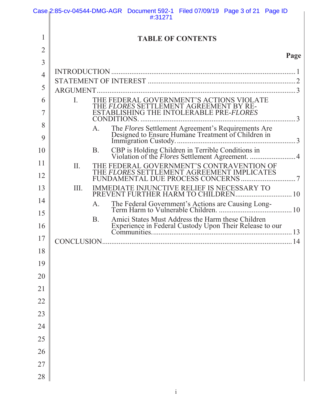|                |             |           | Case 2:85-cv-04544-DMG-AGR Document 592-1 Filed 07/09/19 Page 3 of 21 Page ID<br>#:31271                    |                          |      |
|----------------|-------------|-----------|-------------------------------------------------------------------------------------------------------------|--------------------------|------|
|                |             |           |                                                                                                             |                          |      |
| 1              |             |           |                                                                                                             | <b>TABLE OF CONTENTS</b> |      |
| $\overline{2}$ |             |           |                                                                                                             |                          | Page |
| $\overline{3}$ |             |           |                                                                                                             |                          |      |
| $\overline{4}$ |             |           |                                                                                                             |                          |      |
| 5              | ARGUMENT.   |           |                                                                                                             |                          |      |
| 6              | Ι.          |           | THE FEDERAL GOVERNMENT'S ACTIONS VIOLATE                                                                    |                          |      |
| 7              |             |           | THE FLORES SETTLEMENT AGREEMENT BY REESTABLISHING THE INTOLERABLE PRE-FLORES                                |                          |      |
| 8              |             | A.        | The Flores Settlement Agreement's Requirements Are<br>Designed to Ensure Humane Treatment of Children in    |                          |      |
| 9              |             |           |                                                                                                             |                          |      |
| 10             |             | B.        | CBP is Holding Children in Terrible Conditions in<br>Violation of the <i>Flores</i> Settlement Agreement. 4 |                          |      |
| 11             | II.         |           | THE FEDERAL GOVERNMENT'S CONTRAVENTION OF                                                                   |                          |      |
| 12             |             |           | THE FLORES SETTLEMENT AGREEMENT IMPLICATES                                                                  |                          |      |
| 13             | Ш.          |           | IMMEDIATE INJUNCTIVE RELIEF IS NECESSARY TO<br>PREVENT FURTHER HARM TO CHILDREN 10                          |                          |      |
| 14             |             | A.        |                                                                                                             |                          |      |
| 15             |             | <b>B.</b> | Amici States Must Address the Harm these Children                                                           |                          |      |
| 16             |             |           | Experience in Federal Custody Upon Their Release to our                                                     |                          |      |
| 17             | CONCLUSION. |           |                                                                                                             |                          | 14   |
| 18             |             |           |                                                                                                             |                          |      |
| 19             |             |           |                                                                                                             |                          |      |
| 20             |             |           |                                                                                                             |                          |      |
| 21             |             |           |                                                                                                             |                          |      |
| 22             |             |           |                                                                                                             |                          |      |
| 23             |             |           |                                                                                                             |                          |      |
| 24             |             |           |                                                                                                             |                          |      |
| 25             |             |           |                                                                                                             |                          |      |
| 26             |             |           |                                                                                                             |                          |      |
| 27             |             |           |                                                                                                             |                          |      |
| 28             |             |           |                                                                                                             |                          |      |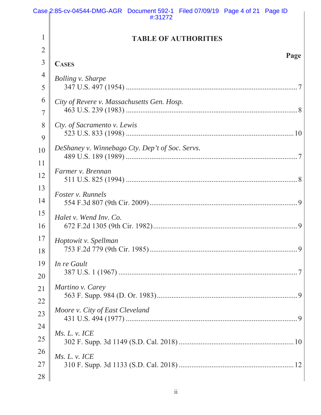|                | Case 2:85-cv-04544-DMG-AGR Document 592-1 Filed 07/09/19 Page 4 of 21 Page ID<br>#:31272 |
|----------------|------------------------------------------------------------------------------------------|
| $\mathbf{1}$   |                                                                                          |
| $\overline{2}$ | <b>TABLE OF AUTHORITIES</b>                                                              |
| 3              | Page<br><b>CASES</b>                                                                     |
| $\overline{4}$ | <b>Bolling v. Sharpe</b>                                                                 |
| 5              |                                                                                          |
| 6              | City of Revere v. Massachusetts Gen. Hosp.                                               |
| $\overline{7}$ |                                                                                          |
| 8              | Cty. of Sacramento v. Lewis                                                              |
| 9              |                                                                                          |
| 10             | DeShaney v. Winnebago Cty. Dep't of Soc. Servs.                                          |
| 11             |                                                                                          |
| 12             | Farmer v. Brennan                                                                        |
| 13             | Foster v. Runnels                                                                        |
| 14             |                                                                                          |
| 15             | Halet v. Wend Inv. Co.                                                                   |
| 16             |                                                                                          |
| 17             | Hoptowit v. Spellman                                                                     |
| 18             |                                                                                          |
| 19             | In re Gault                                                                              |
| 20             |                                                                                          |
| 21             | Martino v. Carey                                                                         |
| 22             |                                                                                          |
| 23             | Moore v. City of East Cleveland                                                          |
| 24             | Ms. L. v. ICE                                                                            |
| 25             |                                                                                          |
| 26             | Ms. L. v. ICE                                                                            |
| 27             |                                                                                          |
| 28             |                                                                                          |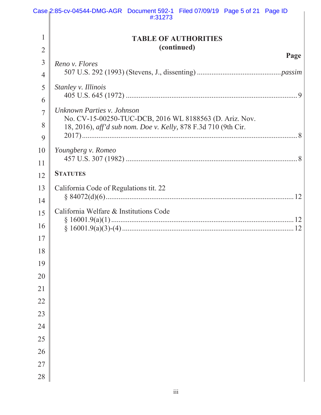|                | Case 2:85-cv-04544-DMG-AGR Document 592-1 Filed 07/09/19 Page 5 of 21 Page ID<br>#:31273                                  |  |  |  |  |  |  |
|----------------|---------------------------------------------------------------------------------------------------------------------------|--|--|--|--|--|--|
|                |                                                                                                                           |  |  |  |  |  |  |
| 1              | <b>TABLE OF AUTHORITIES</b>                                                                                               |  |  |  |  |  |  |
| $\overline{2}$ | (continued)                                                                                                               |  |  |  |  |  |  |
| 3              | Page<br>Reno v. Flores                                                                                                    |  |  |  |  |  |  |
| $\overline{4}$ |                                                                                                                           |  |  |  |  |  |  |
| 5              | Stanley v. Illinois                                                                                                       |  |  |  |  |  |  |
| 6              |                                                                                                                           |  |  |  |  |  |  |
| $\overline{7}$ | Unknown Parties v. Johnson                                                                                                |  |  |  |  |  |  |
| 8              | No. CV-15-00250-TUC-DCB, 2016 WL 8188563 (D. Ariz. Nov.<br>18, 2016), aff'd sub nom. Doe v. Kelly, 878 F.3d 710 (9th Cir. |  |  |  |  |  |  |
| 9              |                                                                                                                           |  |  |  |  |  |  |
| 10             | Youngberg v. Romeo                                                                                                        |  |  |  |  |  |  |
| 11             |                                                                                                                           |  |  |  |  |  |  |
| 12             | <b>STATUTES</b>                                                                                                           |  |  |  |  |  |  |
| 13             | California Code of Regulations tit. 22                                                                                    |  |  |  |  |  |  |
| 14             |                                                                                                                           |  |  |  |  |  |  |
| 15             | California Welfare & Institutions Code                                                                                    |  |  |  |  |  |  |
| 16             |                                                                                                                           |  |  |  |  |  |  |
| 17             |                                                                                                                           |  |  |  |  |  |  |
| 18             |                                                                                                                           |  |  |  |  |  |  |
| 19             |                                                                                                                           |  |  |  |  |  |  |
| 20             |                                                                                                                           |  |  |  |  |  |  |
| 21             |                                                                                                                           |  |  |  |  |  |  |
| 22             |                                                                                                                           |  |  |  |  |  |  |
| 23             |                                                                                                                           |  |  |  |  |  |  |
| 24             |                                                                                                                           |  |  |  |  |  |  |
| 25             |                                                                                                                           |  |  |  |  |  |  |
| 26             |                                                                                                                           |  |  |  |  |  |  |
| $27\,$         |                                                                                                                           |  |  |  |  |  |  |
| 28             |                                                                                                                           |  |  |  |  |  |  |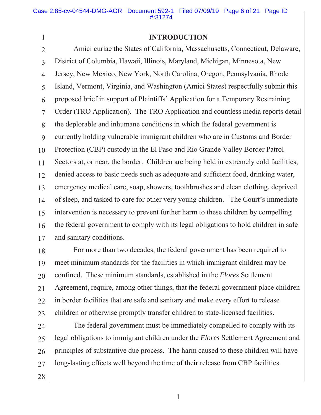## **INTRODUCTION**

2 3 4 5 6 7 8 9 10 11 12 13 14 15 16 17 Amici curiae the States of California, Massachusetts, Connecticut, Delaware, District of Columbia, Hawaii, Illinois, Maryland, Michigan, Minnesota, New Jersey, New Mexico, New York, North Carolina, Oregon, Pennsylvania, Rhode Island, Vermont, Virginia, and Washington (Amici States) respectfully submit this proposed brief in support of Plaintiffs' Application for a Temporary Restraining Order (TRO Application). The TRO Application and countless media reports detail the deplorable and inhumane conditions in which the federal government is currently holding vulnerable immigrant children who are in Customs and Border Protection (CBP) custody in the El Paso and Rio Grande Valley Border Patrol Sectors at, or near, the border. Children are being held in extremely cold facilities, denied access to basic needs such as adequate and sufficient food, drinking water, emergency medical care, soap, showers, toothbrushes and clean clothing, deprived of sleep, and tasked to care for other very young children. The Court's immediate intervention is necessary to prevent further harm to these children by compelling the federal government to comply with its legal obligations to hold children in safe and sanitary conditions.

18 19 20 21 22 23 For more than two decades, the federal government has been required to meet minimum standards for the facilities in which immigrant children may be confined. These minimum standards, established in the *Flores* Settlement Agreement, require, among other things, that the federal government place children in border facilities that are safe and sanitary and make every effort to release children or otherwise promptly transfer children to state-licensed facilities.

24 25 26 27 The federal government must be immediately compelled to comply with its legal obligations to immigrant children under the *Flores* Settlement Agreement and principles of substantive due process. The harm caused to these children will have long-lasting effects well beyond the time of their release from CBP facilities.

28

1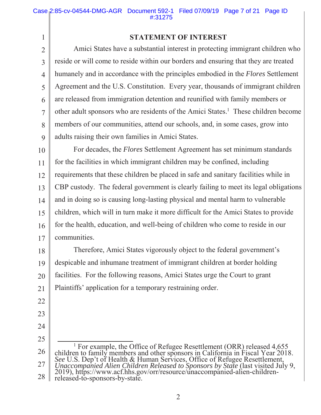# **STATEMENT OF INTEREST**

2 3 4 5 6 7 8 9 Amici States have a substantial interest in protecting immigrant children who reside or will come to reside within our borders and ensuring that they are treated humanely and in accordance with the principles embodied in the *Flores* Settlement Agreement and the U.S. Constitution. Every year, thousands of immigrant children are released from immigration detention and reunified with family members or other adult sponsors who are residents of the Amici States.<sup>1</sup> These children become members of our communities, attend our schools, and, in some cases, grow into adults raising their own families in Amici States.

10 11 12 13 14 15 16 17 For decades, the *Flores* Settlement Agreement has set minimum standards for the facilities in which immigrant children may be confined, including requirements that these children be placed in safe and sanitary facilities while in CBP custody. The federal government is clearly failing to meet its legal obligations and in doing so is causing long-lasting physical and mental harm to vulnerable children, which will in turn make it more difficult for the Amici States to provide for the health, education, and well-being of children who come to reside in our communities.

18 19 20 21 Therefore, Amici States vigorously object to the federal government's despicable and inhumane treatment of immigrant children at border holding facilities. For the following reasons, Amici States urge the Court to grant Plaintiffs' application for a temporary restraining order.

22

- 23
- 24
- 25

<sup>26</sup>  27 28 <u>1</u> <sup>1</sup> For example, the Office of Refugee Resettlement (ORR) released 4,655 children to family members and other sponsors in California in Fiscal Year 2018. *See* U.S. Dep't of Health & Human Services, Office of Refugee Resettlement, *Unaccompanied Alien Children Released to Sponsors by State* (last visited July 9, 2019), https://www.acf.hhs.gov/orr/resource/unaccompanied-alien-childrenreleased-to-sponsors-by-state.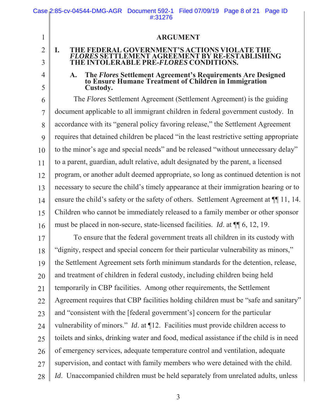|                | Case 2:85-cv-04544-DMG-AGR Document 592-1 Filed 07/09/19 Page 8 of 21 Page ID<br>#:31276                                               |  |  |  |  |  |  |
|----------------|----------------------------------------------------------------------------------------------------------------------------------------|--|--|--|--|--|--|
|                |                                                                                                                                        |  |  |  |  |  |  |
| $\mathbf{1}$   | <b>ARGUMENT</b>                                                                                                                        |  |  |  |  |  |  |
| $\overline{2}$ | THE FEDERAL GOVERNMENT'S ACTIONS VIOLATE THE<br>$\mathbf{I}$ .                                                                         |  |  |  |  |  |  |
| $\overline{3}$ | <b>FLORES SETTLEMENT AGREEMENT BY RE-ESTABLISHING</b><br>THE INTOLERABLE PRE-FLORES CONDITIONS.                                        |  |  |  |  |  |  |
| 4              | The Flores Settlement Agreement's Requirements Are Designed<br>to Ensure Humane Treatment of Children in Immigration<br>$\mathbf{A}$ . |  |  |  |  |  |  |
| 5              | Custody.                                                                                                                               |  |  |  |  |  |  |
| 6              | The <i>Flores</i> Settlement Agreement (Settlement Agreement) is the guiding                                                           |  |  |  |  |  |  |
| $\overline{7}$ | document applicable to all immigrant children in federal government custody. In                                                        |  |  |  |  |  |  |
| 8              | accordance with its "general policy favoring release," the Settlement Agreement                                                        |  |  |  |  |  |  |
| 9              | requires that detained children be placed "in the least restrictive setting appropriate                                                |  |  |  |  |  |  |
| 10             | to the minor's age and special needs" and be released "without unnecessary delay"                                                      |  |  |  |  |  |  |
| 11             | to a parent, guardian, adult relative, adult designated by the parent, a licensed                                                      |  |  |  |  |  |  |
| 12             | program, or another adult deemed appropriate, so long as continued detention is not                                                    |  |  |  |  |  |  |
| 13             | necessary to secure the child's timely appearance at their immigration hearing or to                                                   |  |  |  |  |  |  |
| 14             | ensure the child's safety or the safety of others. Settlement Agreement at $\P$ 11, 14.                                                |  |  |  |  |  |  |
| 15             | Children who cannot be immediately released to a family member or other sponsor                                                        |  |  |  |  |  |  |
| 16             | must be placed in non-secure, state-licensed facilities. <i>Id.</i> at $\P$ 6, 12, 19.                                                 |  |  |  |  |  |  |
| 17             | To ensure that the federal government treats all children in its custody with                                                          |  |  |  |  |  |  |
| 18             | "dignity, respect and special concern for their particular vulnerability as minors,"                                                   |  |  |  |  |  |  |
| 19             | the Settlement Agreement sets forth minimum standards for the detention, release,                                                      |  |  |  |  |  |  |
| 20             | and treatment of children in federal custody, including children being held                                                            |  |  |  |  |  |  |
| 21             | temporarily in CBP facilities. Among other requirements, the Settlement                                                                |  |  |  |  |  |  |
| 22             | Agreement requires that CBP facilities holding children must be "safe and sanitary"                                                    |  |  |  |  |  |  |
| 23             | and "consistent with the [federal government's] concern for the particular                                                             |  |  |  |  |  |  |
| 24             | vulnerability of minors." <i>Id.</i> at $\P$ 12. Facilities must provide children access to                                            |  |  |  |  |  |  |
| 25             | toilets and sinks, drinking water and food, medical assistance if the child is in need                                                 |  |  |  |  |  |  |
| 26             | of emergency services, adequate temperature control and ventilation, adequate                                                          |  |  |  |  |  |  |
| 27             | supervision, and contact with family members who were detained with the child.                                                         |  |  |  |  |  |  |
| 28             | <i>Id.</i> Unaccompanied children must be held separately from unrelated adults, unless                                                |  |  |  |  |  |  |
|                |                                                                                                                                        |  |  |  |  |  |  |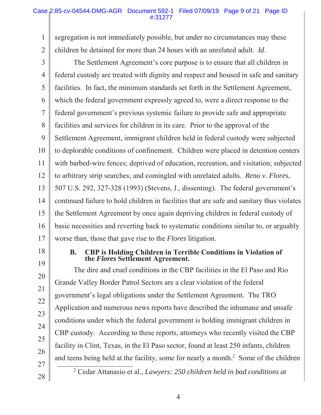#### Case 2:85-cv-04544-DMG-AGR Document 592-1 Filed 07/09/19 Page 9 of 21 Page ID #:31277

1 2 segregation is not immediately possible, but under no circumstances may these children be detained for more than 24 hours with an unrelated adult. *Id*.

3 4 5 6 7 8 9 10 11 12 13 14 15 16 17 The Settlement Agreement's core purpose is to ensure that all children in federal custody are treated with dignity and respect and housed in safe and sanitary facilities. In fact, the minimum standards set forth in the Settlement Agreement, which the federal government expressly agreed to, were a direct response to the federal government's previous systemic failure to provide safe and appropriate facilities and services for children in its care. Prior to the approval of the Settlement Agreement, immigrant children held in federal custody were subjected to deplorable conditions of confinement. Children were placed in detention centers with barbed-wire fences; deprived of education, recreation, and visitation; subjected to arbitrary strip searches; and comingled with unrelated adults. *Reno v. Flores*, 507 U.S. 292, 327-328 (1993) (Stevens, J., dissenting). The federal government's continued failure to hold children in facilities that are safe and sanitary thus violates the Settlement Agreement by once again depriving children in federal custody of basic necessities and reverting back to systematic conditions similar to, or arguably worse than, those that gave rise to the *Flores* litigation.

18

19

20

21

22

23

24

25

26

### **B. CBP is Holding Children in Terrible Conditions in Violation of the** *Flores* **Settlement Agreement.**

The dire and cruel conditions in the CBP facilities in the El Paso and Rio Grande Valley Border Patrol Sectors are a clear violation of the federal government's legal obligations under the Settlement Agreement. The TRO Application and numerous news reports have described the inhumane and unsafe conditions under which the federal government is holding immigrant children in CBP custody. According to these reports, attorneys who recently visited the CBP facility in Clint, Texas, in the El Paso sector, found at least 250 infants, children and teens being held at the facility, some for nearly a month.<sup>2</sup> Some of the children 2

27 28

Cedar Attanasio et al., *Lawyers: 250 children held in bad conditions at*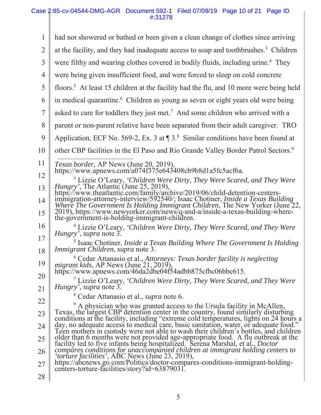#### Case 2:85-cv-04544-DMG-AGR Document 592-1 Filed 07/09/19 Page 10 of 21 Page ID #:31278

| 1              | had not showered or bathed or been given a clean change of clothes since arriving                                                                                                                                                                                |
|----------------|------------------------------------------------------------------------------------------------------------------------------------------------------------------------------------------------------------------------------------------------------------------|
| $\overline{2}$ | at the facility, and they had inadequate access to soap and toothbrushes. <sup>3</sup> Children                                                                                                                                                                  |
| 3              | were filthy and wearing clothes covered in bodily fluids, including urine. <sup>4</sup> They                                                                                                                                                                     |
| 4              | were being given insufficient food, and were forced to sleep on cold concrete                                                                                                                                                                                    |
| 5              | floors. <sup>5</sup> At least 15 children at the facility had the flu, and 10 more were being held                                                                                                                                                               |
| 6              | in medical quarantine. <sup>6</sup> Children as young as seven or eight years old were being                                                                                                                                                                     |
| 7              | asked to care for toddlers they just met. <sup>7</sup> And some children who arrived with a                                                                                                                                                                      |
| 8              | parent or non-parent relative have been separated from their adult caregiver. TRO                                                                                                                                                                                |
| 9              | Application, ECF No. 569-2, Ex. 3 at $\P$ 3. <sup>8</sup> Similar conditions have been found at                                                                                                                                                                  |
| 10             | other CBP facilities in the El Paso and Rio Grande Valley Border Patrol Sectors. <sup>9</sup>                                                                                                                                                                    |
| 11             | <i>Texas border</i> , AP News (June 20, 2019),                                                                                                                                                                                                                   |
| 12             | https://www.apnews.com/a074f375e643408cb9b8d1a5fc5acf6a.                                                                                                                                                                                                         |
| 13             | <sup>3</sup> Lizzie O'Leary, 'Children Were Dirty, They Were Scared, and They Were                                                                                                                                                                               |
| 14             | Hungry', The Atlantic (June 25, 2019),<br>https://www.theatlantic.com/family/archive/2019/06/child-detention-centers-<br>immigration-attorney-interview/592540/; Isaac Chotiner, <i>Inside a Texas Building</i><br>Where The Government Is H                     |
| 15             | 2019), https://www.newyorker.com/news/q-and-a/inside-a-texas-building-where-<br>the-government-is-holding-immigrant-children.                                                                                                                                    |
| 16             | <sup>4</sup> Lizzie O'Leary, 'Children Were Dirty, They Were Scared, and They Were<br><i>Hungry'</i> , <i>supra</i> note 3.                                                                                                                                      |
| 17             | <sup>5</sup> Isaac Chotiner, <i>Inside a Texas Building Where The Government Is Holding</i>                                                                                                                                                                      |
| 18             | Immigrant Children, supra note 3.<br>$6$ Cedar Attanasio et al., Attorneys: Texas border facility is neglecting                                                                                                                                                  |
| 19             | migrant kids, AP News (June 21, 2019),                                                                                                                                                                                                                           |
| 20             | https://www.apnews.com/46da2dbe04f54adbb875cfbc06bbc615.<br>$\mu$ Lizzie O'Leary, 'Children Were Dirty, They Were Scared, and They Were                                                                                                                          |
| 21             | <i>Hungry'</i> , <i>supra</i> note 3.                                                                                                                                                                                                                            |
| 22             | Cedar Attanasio et al., supra note 6.                                                                                                                                                                                                                            |
| 23             | A physician who was granted access to the Ursula facility in McAllen,<br>Texas, the largest CBP detention center in the country, found similarly disturbing                                                                                                      |
| 24             | conditions at the facility, including "extreme cold temperatures, lights on 24 hours a<br>day, no adequate access to medical care, basic sanitation, water, or adequate food."                                                                                   |
| 25             | Teen mothers in custody were not able to wash their children's bottles, and children<br>older than 6 months were not provided age-appropriate food. A flu outbreak at the facility led to five infants being hospitalized. Serena Marshal, et al., <i>Doctor</i> |
| 26             | compares conditions for unaccompanied children at immigrant holding centers to torture facilities', ABC News (June 23, 2019),                                                                                                                                    |
| 27             | https://abcnews.go.com/Politics/doctor-compares-conditions-immigrant-holding-<br>centers-torture-facilities/story?id=63879031.                                                                                                                                   |
| 28             |                                                                                                                                                                                                                                                                  |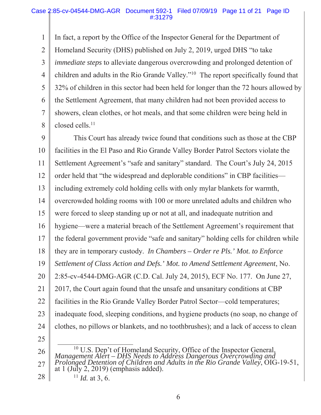1 2 3 4 5 6 7 8 In fact, a report by the Office of the Inspector General for the Department of Homeland Security (DHS) published on July 2, 2019, urged DHS "to take *immediate steps* to alleviate dangerous overcrowding and prolonged detention of children and adults in the Rio Grande Valley."10 The report specifically found that 32% of children in this sector had been held for longer than the 72 hours allowed by the Settlement Agreement, that many children had not been provided access to showers, clean clothes, or hot meals, and that some children were being held in closed cells.<sup>11</sup>

9 10 11 12 13 14 15 16 17 18 19 20 21 22 23 24 25 This Court has already twice found that conditions such as those at the CBP facilities in the El Paso and Rio Grande Valley Border Patrol Sectors violate the Settlement Agreement's "safe and sanitary" standard. The Court's July 24, 2015 order held that "the widespread and deplorable conditions" in CBP facilities including extremely cold holding cells with only mylar blankets for warmth, overcrowded holding rooms with 100 or more unrelated adults and children who were forced to sleep standing up or not at all, and inadequate nutrition and hygiene—were a material breach of the Settlement Agreement's requirement that the federal government provide "safe and sanitary" holding cells for children while they are in temporary custody. *In Chambers – Order re Pls.' Mot. to Enforce Settlement of Class Action and Defs.' Mot. to Amend Settlement Agreement*, No. 2:85-cv-4544-DMG-AGR (C.D. Cal. July 24, 2015), ECF No. 177. On June 27, 2017, the Court again found that the unsafe and unsanitary conditions at CBP facilities in the Rio Grande Valley Border Patrol Sector—cold temperatures; inadequate food, sleeping conditions, and hygiene products (no soap, no change of clothes, no pillows or blankets, and no toothbrushes); and a lack of access to clean

26 27 28 <sup>10</sup> U.S. Dep't of Homeland Security, Office of the Inspector General, *Management Alert – DHS Needs to Address Dangerous Overcrowding and Prolonged Detention of Children and Adults in the Rio Grande Valley*, OIG-19-51, at 1 (July 2, 2019) (emphasis added).

 $11$  *Id.* at 3, 6.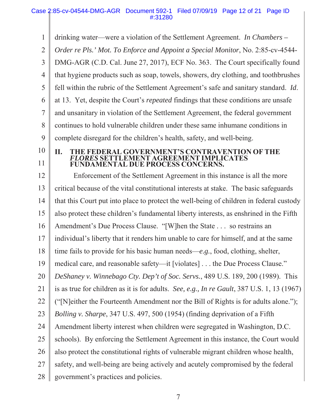#### Case 2:85-cv-04544-DMG-AGR Document 592-1 Filed 07/09/19 Page 12 of 21 Page ID #:31280

1 2 3 4 5 6 7 8 9 10 11 12 13 14 15 16 17 18 19 20 21 22 23 24 25 26 27 28 drinking water—were a violation of the Settlement Agreement. *In Chambers – Order re Pls.' Mot. To Enforce and Appoint a Special Monitor*, No. 2:85-cv-4544- DMG-AGR (C.D. Cal. June 27, 2017), ECF No. 363. The Court specifically found that hygiene products such as soap, towels, showers, dry clothing, and toothbrushes fell within the rubric of the Settlement Agreement's safe and sanitary standard. *Id*. at 13. Yet, despite the Court's *repeated* findings that these conditions are unsafe and unsanitary in violation of the Settlement Agreement, the federal government continues to hold vulnerable children under these same inhumane conditions in complete disregard for the children's health, safety, and well-being. **II. THE FEDERAL GOVERNMENT'S CONTRAVENTION OF THE** *FLORES* **SETTLEMENT AGREEMENT IMPLICATES FUNDAMENTAL DUE PROCESS CONCERNS.**  Enforcement of the Settlement Agreement in this instance is all the more critical because of the vital constitutional interests at stake. The basic safeguards that this Court put into place to protect the well-being of children in federal custody also protect these children's fundamental liberty interests, as enshrined in the Fifth Amendment's Due Process Clause. "[W]hen the State . . . so restrains an individual's liberty that it renders him unable to care for himself, and at the same time fails to provide for his basic human needs—*e.g.*, food, clothing, shelter, medical care, and reasonable safety—it [violates] . . . the Due Process Clause." *DeShaney v. Winnebago Cty. Dep't of Soc. Servs.*, 489 U.S. 189, 200 (1989). This is as true for children as it is for adults. *See, e.g., In re Gault*, 387 U.S. 1, 13 (1967) ("[N]either the Fourteenth Amendment nor the Bill of Rights is for adults alone."); *Bolling v. Sharpe*, 347 U.S. 497, 500 (1954) (finding deprivation of a Fifth Amendment liberty interest when children were segregated in Washington, D.C. schools). By enforcing the Settlement Agreement in this instance, the Court would also protect the constitutional rights of vulnerable migrant children whose health, safety, and well-being are being actively and acutely compromised by the federal government's practices and policies.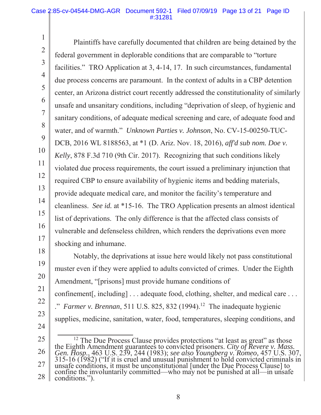1

2

3

4

5

6

7

8

9

10

11

12

13

14

15

16

17

18

19

20

21

22

23

24

Plaintiffs have carefully documented that children are being detained by the federal government in deplorable conditions that are comparable to "torture facilities." TRO Application at 3, 4-14, 17. In such circumstances, fundamental due process concerns are paramount. In the context of adults in a CBP detention center, an Arizona district court recently addressed the constitutionality of similarly unsafe and unsanitary conditions, including "deprivation of sleep, of hygienic and sanitary conditions, of adequate medical screening and care, of adequate food and water, and of warmth." *Unknown Parties v. Johnson*, No. CV-15-00250-TUC-DCB, 2016 WL 8188563, at \*1 (D. Ariz. Nov. 18, 2016), *aff'd sub nom. Doe v. Kelly*, 878 F.3d 710 (9th Cir. 2017). Recognizing that such conditions likely violated due process requirements, the court issued a preliminary injunction that required CBP to ensure availability of hygienic items and bedding materials, provide adequate medical care, and monitor the facility's temperature and cleanliness. *See id.* at \*15-16. The TRO Application presents an almost identical list of deprivations. The only difference is that the affected class consists of vulnerable and defenseless children, which renders the deprivations even more shocking and inhumane.

Notably, the deprivations at issue here would likely not pass constitutional muster even if they were applied to adults convicted of crimes. Under the Eighth Amendment, "[prisons] must provide humane conditions of confinement[, including] . . . adequate food, clothing, shelter, and medical care . . . <sup>2</sup> *Farmer v. Brennan*, 511 U.S. 825, 832 (1994).<sup>12</sup> The inadequate hygienic supplies, medicine, sanitation, water, food, temperatures, sleeping conditions, and

<sup>25</sup>  26 27 28 <sup>12</sup> The Due Process Clause provides protections "at least as great" as those the Eighth Amendment guarantees to convicted prisoners. City of Revere v. Mass.<br>Gen. Hosp., 463 U.S. 239, 244 (1983); see also Youngberg v. Romeo, 457 U.S. 307,<br>315-16 (1982) ("If it is cruel and unusual punishment to hold unsafe conditions, it must be unconstitutional [under the Due Process Clause] to confine the involuntarily committed—who may not be punished at all—in unsafe conditions.").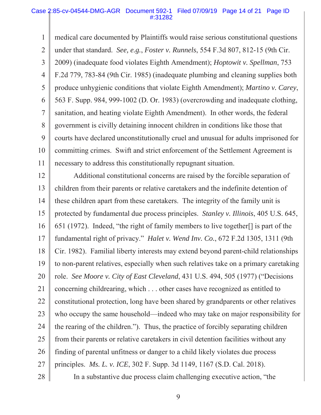#### Case 2:85-cv-04544-DMG-AGR Document 592-1 Filed 07/09/19 Page 14 of 21 Page ID #:31282

1 2 3 4 5 6 7 8 9 10 11 medical care documented by Plaintiffs would raise serious constitutional questions under that standard. *See, e.g.*, *Foster v. Runnels*, 554 F.3d 807, 812-15 (9th Cir. 2009) (inadequate food violates Eighth Amendment); *Hoptowit v. Spellman*, 753 F.2d 779, 783-84 (9th Cir. 1985) (inadequate plumbing and cleaning supplies both produce unhygienic conditions that violate Eighth Amendment); *Martino v. Carey*, 563 F. Supp. 984, 999-1002 (D. Or. 1983) (overcrowding and inadequate clothing, sanitation, and heating violate Eighth Amendment). In other words, the federal government is civilly detaining innocent children in conditions like those that courts have declared unconstitutionally cruel and unusual for adults imprisoned for committing crimes. Swift and strict enforcement of the Settlement Agreement is necessary to address this constitutionally repugnant situation.

12 13 14 15 16 17 18 19 20 21 22 23 24 25 26 27 Additional constitutional concerns are raised by the forcible separation of children from their parents or relative caretakers and the indefinite detention of these children apart from these caretakers. The integrity of the family unit is protected by fundamental due process principles. *Stanley v. Illinois*, 405 U.S. 645, 651 (1972). Indeed, "the right of family members to live together[] is part of the fundamental right of privacy." *Halet v. Wend Inv. Co.*, 672 F.2d 1305, 1311 (9th Cir. 1982). Familial liberty interests may extend beyond parent-child relationships to non-parent relatives, especially when such relatives take on a primary caretaking role. *See Moore v. City of East Cleveland*, 431 U.S. 494, 505 (1977) ("Decisions concerning childrearing, which . . . other cases have recognized as entitled to constitutional protection, long have been shared by grandparents or other relatives who occupy the same household—indeed who may take on major responsibility for the rearing of the children."). Thus, the practice of forcibly separating children from their parents or relative caretakers in civil detention facilities without any finding of parental unfitness or danger to a child likely violates due process principles. *Ms. L. v. ICE*, 302 F. Supp. 3d 1149, 1167 (S.D. Cal. 2018).

28

In a substantive due process claim challenging executive action, "the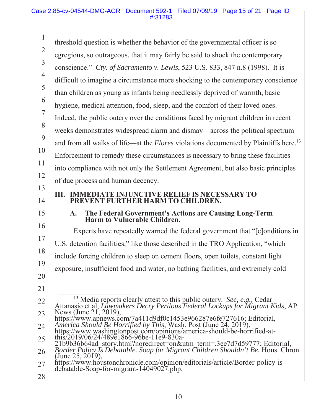1 2 3 4 5 6 7 8 9 10 11 12 13 14 15 16 17 18 19 20 21 22 23 24 25 26 27 28 threshold question is whether the behavior of the governmental officer is so egregious, so outrageous, that it may fairly be said to shock the contemporary conscience." *Cty. of Sacramento v. Lewis*, 523 U.S. 833, 847 n.8 (1998). It is difficult to imagine a circumstance more shocking to the contemporary conscience than children as young as infants being needlessly deprived of warmth, basic hygiene, medical attention, food, sleep, and the comfort of their loved ones. Indeed, the public outcry over the conditions faced by migrant children in recent weeks demonstrates widespread alarm and dismay—across the political spectrum and from all walks of life—at the *Flores* violations documented by Plaintiffs here.<sup>13</sup> Enforcement to remedy these circumstances is necessary to bring these facilities into compliance with not only the Settlement Agreement, but also basic principles of due process and human decency. **III. IMMEDIATE INJUNCTIVE RELIEF IS NECESSARY TO PREVENT FURTHER HARM TO CHILDREN. A. The Federal Government's Actions are Causing Long-Term Harm to Vulnerable Children.**  Experts have repeatedly warned the federal government that "[c]onditions in U.S. detention facilities," like those described in the TRO Application, "which include forcing children to sleep on cement floors, open toilets, constant light exposure, insufficient food and water, no bathing facilities, and extremely cold 13 Media reports clearly attest to this public outcry. *See, e.g.,* Cedar Attanasio et al, *Lawmakers Decry Perilous Federal Lockups for Migrant Kids*, AP News (June 21, 2019), https://www.apnews.com/7a411d9df0c1453e966287e6fe727616; Editorial, *America Should Be Horrified by This*, Wash. Post (June 24, 2019), https://www.washingtonpost.com/opinions/america-should-be-horrified-atthis/2019/06/24/489e1866-96be-11e9-830a-21b9b36b64ad\_story.html?noredirect=on&utm\_term=.3ee7d7d59777; Editorial, *Border Policy Is Debatable. Soap for Migrant Children Shouldn't Be,* Hous. Chron. (June 25, 2019), https://www.houstonchronicle.com/opinion/editorials/article/Border-policy-is- debatable-Soap-for-migrant-14049027.php.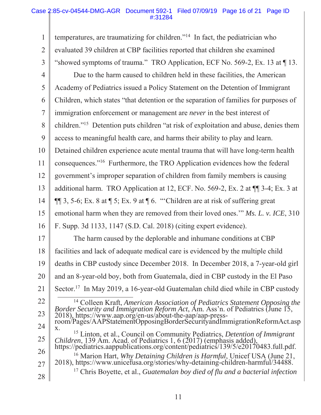#### Case 2:85-cv-04544-DMG-AGR Document 592-1 Filed 07/09/19 Page 16 of 21 Page ID #:31284

| $\mathbf{1}$   | temperatures, are traumatizing for children." <sup>14</sup> In fact, the pediatrician who                                                                                                                                                          |
|----------------|----------------------------------------------------------------------------------------------------------------------------------------------------------------------------------------------------------------------------------------------------|
| $\overline{2}$ | evaluated 39 children at CBP facilities reported that children she examined                                                                                                                                                                        |
| 3              | "showed symptoms of trauma." TRO Application, ECF No. 569-2, Ex. 13 at $\P$ 13.                                                                                                                                                                    |
| $\overline{4}$ | Due to the harm caused to children held in these facilities, the American                                                                                                                                                                          |
| 5              | Academy of Pediatrics issued a Policy Statement on the Detention of Immigrant                                                                                                                                                                      |
| 6              | Children, which states "that detention or the separation of families for purposes of                                                                                                                                                               |
| $\overline{7}$ | immigration enforcement or management are <i>never</i> in the best interest of                                                                                                                                                                     |
| 8              | children." <sup>15</sup> Detention puts children "at risk of exploitation and abuse, denies them                                                                                                                                                   |
| 9              | access to meaningful health care, and harms their ability to play and learn.                                                                                                                                                                       |
| 10             | Detained children experience acute mental trauma that will have long-term health                                                                                                                                                                   |
| 11             | consequences." <sup>16</sup> Furthermore, the TRO Application evidences how the federal                                                                                                                                                            |
| 12             | government's improper separation of children from family members is causing                                                                                                                                                                        |
| 13             | additional harm. TRO Application at 12, ECF. No. 569-2, Ex. 2 at ¶ 3-4; Ex. 3 at                                                                                                                                                                   |
| 14             | $\P$ 3, 5-6; Ex. 8 at $\P$ 5; Ex. 9 at $\P$ 6. "Children are at risk of suffering great                                                                                                                                                            |
| 15             | emotional harm when they are removed from their loved ones." $Ms$ . L. v. ICE, 310                                                                                                                                                                 |
| 16             | F. Supp. 3d 1133, 1147 (S.D. Cal. 2018) (citing expert evidence).                                                                                                                                                                                  |
| 17             | The harm caused by the deplorable and inhumane conditions at CBP                                                                                                                                                                                   |
| 18             | facilities and lack of adequate medical care is evidenced by the multiple child                                                                                                                                                                    |
| 19             | deaths in CBP custody since December 2018. In December 2018, a 7-year-old girl                                                                                                                                                                     |
| 20             | and an 8-year-old boy, both from Guatemala, died in CBP custody in the El Paso                                                                                                                                                                     |
| 21             | Sector. <sup>17</sup> In May 2019, a 16-year-old Guatemalan child died while in CBP custody                                                                                                                                                        |
| 22             | <sup>14</sup> Colleen Kraft, American Association of Pediatrics Statement Opposing the Border Security and Immigration Reform Act, Am. Ass'n. of Pediatrics (June 15,                                                                              |
| 23             | 2018), https://www.aap.org/en-us/about-the-aap/aap-press-                                                                                                                                                                                          |
| 24             | room/Pages/AAPStatementOpposingBorderSecurityandImmigrationReformAct.asp<br>X.                                                                                                                                                                     |
| 25             | <sup>15</sup> Linton, et al., Council on Community Pediatrics, <i>Detention of Immigrant</i><br>Children, 139 Am. Acad. of Pediatrics 1, 6 (2017) (emphasis added),<br>https://pediatrics.aappublications.org/content/pediatrics/139/5/e20170483.f |
| 26             |                                                                                                                                                                                                                                                    |
| 27             | <sup>16</sup> Marion Hart, <i>Why Detaining Children is Harmful</i> , Unicef USA (June 21, 2018), https://www.unicefusa.org/stories/why-detaining-children-harmful/34488.                                                                          |
| 28             | $17$ Chris Boyette, et al., Guatemalan boy died of flu and a bacterial infection                                                                                                                                                                   |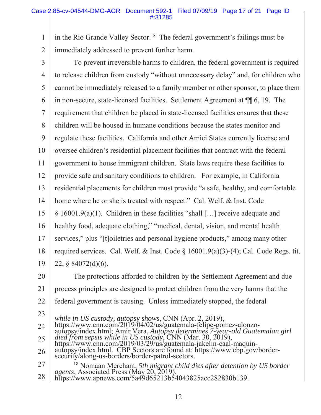1 2 in the Rio Grande Valley Sector.<sup>18</sup> The federal government's failings must be immediately addressed to prevent further harm.

- 3 4 5 6 7 8 9 10 11 12 13 14 15 16 17 18 19 To prevent irreversible harms to children, the federal government is required to release children from custody "without unnecessary delay" and, for children who cannot be immediately released to a family member or other sponsor, to place them in non-secure, state-licensed facilities. Settlement Agreement at ¶¶ 6, 19. The requirement that children be placed in state-licensed facilities ensures that these children will be housed in humane conditions because the states monitor and regulate these facilities. California and other Amici States currently license and oversee children's residential placement facilities that contract with the federal government to house immigrant children. State laws require these facilities to provide safe and sanitary conditions to children. For example, in California residential placements for children must provide "a safe, healthy, and comfortable home where he or she is treated with respect." Cal. Welf. & Inst. Code § 16001.9(a)(1). Children in these facilities "shall […] receive adequate and healthy food, adequate clothing," "medical, dental, vision, and mental health services," plus "[t]oiletries and personal hygiene products," among many other required services. Cal. Welf. & Inst. Code  $\S$  16001.9(a)(3)-(4); Cal. Code Regs. tit. 22, § 84072(d)(6).
- 20 21 22 The protections afforded to children by the Settlement Agreement and due process principles are designed to protect children from the very harms that the federal government is causing. Unless immediately stopped, the federal
- 23

24 while in US custody, autopsy shows, CNN (Apr. 2, 2019),<br>https://www.cnn.com/2019/04/02/us/guatemala-felipe-gomez-alonzo-

- 27 <sup>18</sup> Nomaan Merchant, *5th migrant child dies after detention by US border agents*, Associated Press (May 20, 2019),
- 28 https://www.apnews.com/5a49d65213b54043825acc282830b139.

<sup>25</sup>  autopsy/index.html; Amir Vera, Autopsy determines 7-year-old Guatemalan girl<br>died from sepsis while in US custody, CNN (Mar. 30, 2019),<br>https://www.cnn.com/2019/03/29/us/guatemala-jakelin-caal-maquin-<br>autopsy/index.html. C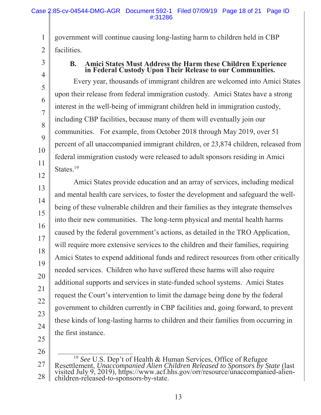government will continue causing long-lasting harm to children held in CBP facilities.

3

4

5

6

7

8

9

10

11

12

13

14

15

16

17

18

19

20

21

22

23

24

1

2

# **B. Amici States Must Address the Harm these Children Experience in Federal Custody Upon Their Release to our Communities.**

Every year, thousands of immigrant children are welcomed into Amici States upon their release from federal immigration custody. Amici States have a strong interest in the well-being of immigrant children held in immigration custody, including CBP facilities, because many of them will eventually join our communities. For example, from October 2018 through May 2019, over 51 percent of all unaccompanied immigrant children, or 23,874 children, released from federal immigration custody were released to adult sponsors residing in Amici States.<sup>19</sup>

Amici States provide education and an array of services, including medical and mental health care services, to foster the development and safeguard the wellbeing of these vulnerable children and their families as they integrate themselves into their new communities. The long-term physical and mental health harms caused by the federal government's actions, as detailed in the TRO Application, will require more extensive services to the children and their families, requiring Amici States to expend additional funds and redirect resources from other critically needed services. Children who have suffered these harms will also require additional supports and services in state-funded school systems. Amici States request the Court's intervention to limit the damage being done by the federal government to children currently in CBP facilities and, going forward, to prevent these kinds of long-lasting harms to children and their families from occurring in the first instance.

<sup>27</sup>  28 <sup>19</sup> See U.S. Dep't of Health & Human Services, Office of Refugee<br>Resettlement, *Unaccompanied Alien Children Released to Sponsors by State* (last<br>visited July 9, 2019), https://www.acf.hhs.gov/orr/resource/unaccompanied-a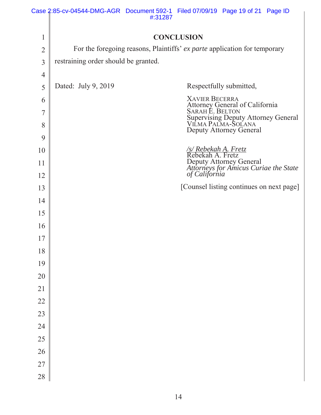|                | Case 2:85-cv-04544-DMG-AGR Document 592-1 Filed 07/09/19 Page 19 of 21 Page ID | #:31287 |                                          |                                                                                      |  |  |  |  |
|----------------|--------------------------------------------------------------------------------|---------|------------------------------------------|--------------------------------------------------------------------------------------|--|--|--|--|
|                |                                                                                |         |                                          |                                                                                      |  |  |  |  |
| $\mathbf{1}$   | <b>CONCLUSION</b>                                                              |         |                                          |                                                                                      |  |  |  |  |
| $\overline{2}$ | For the foregoing reasons, Plaintiffs' ex parte application for temporary      |         |                                          |                                                                                      |  |  |  |  |
| $\overline{3}$ | restraining order should be granted.                                           |         |                                          |                                                                                      |  |  |  |  |
| 4              |                                                                                |         |                                          |                                                                                      |  |  |  |  |
| 5              | Dated: July 9, 2019                                                            |         |                                          | Respectfully submitted,                                                              |  |  |  |  |
| 6              |                                                                                |         | <b>XAVIER BECERRA</b>                    |                                                                                      |  |  |  |  |
| 7              |                                                                                |         |                                          | Attorney General of California<br>SARAH E. BELTON                                    |  |  |  |  |
| 8              |                                                                                |         |                                          | Supervising Deputy Attorney General<br>VILMA PALMA-SOLANA<br>Deputy Attorney General |  |  |  |  |
| 9              |                                                                                |         |                                          |                                                                                      |  |  |  |  |
| 10             |                                                                                |         | /s/ Rebekah A. Fretz<br>Rebekah A. Fretz |                                                                                      |  |  |  |  |
| 11             |                                                                                |         |                                          | Deputy Attorney General<br>Attorneys for Amicus Curiae the State<br>of California    |  |  |  |  |
| 12             |                                                                                |         |                                          |                                                                                      |  |  |  |  |
| 13             |                                                                                |         |                                          | [Counsel listing continues on next page]                                             |  |  |  |  |
| 14             |                                                                                |         |                                          |                                                                                      |  |  |  |  |
| 15             |                                                                                |         |                                          |                                                                                      |  |  |  |  |
| 16             |                                                                                |         |                                          |                                                                                      |  |  |  |  |
| 17             |                                                                                |         |                                          |                                                                                      |  |  |  |  |
| 18             |                                                                                |         |                                          |                                                                                      |  |  |  |  |
| 19             |                                                                                |         |                                          |                                                                                      |  |  |  |  |
| 20             |                                                                                |         |                                          |                                                                                      |  |  |  |  |
| $21\,$         |                                                                                |         |                                          |                                                                                      |  |  |  |  |
| 22             |                                                                                |         |                                          |                                                                                      |  |  |  |  |
| 23             |                                                                                |         |                                          |                                                                                      |  |  |  |  |
| 24             |                                                                                |         |                                          |                                                                                      |  |  |  |  |
| 25             |                                                                                |         |                                          |                                                                                      |  |  |  |  |
| 26             |                                                                                |         |                                          |                                                                                      |  |  |  |  |
| 27             |                                                                                |         |                                          |                                                                                      |  |  |  |  |
| 28             |                                                                                |         |                                          |                                                                                      |  |  |  |  |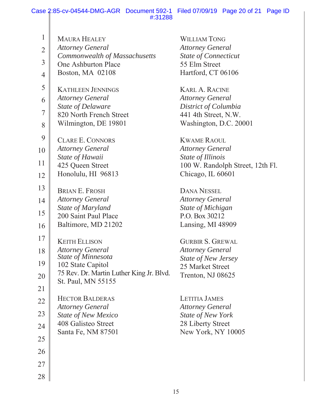|                | Case 2:85-cv-04544-DMG-AGR Document 592-1 Filed 07/09/19 Page 20 of 21 Page ID |                                                 |  |  |
|----------------|--------------------------------------------------------------------------------|-------------------------------------------------|--|--|
|                | #:31288                                                                        |                                                 |  |  |
| $\mathbf{1}$   | <b>MAURA HEALEY</b>                                                            | <b>WILLIAM TONG</b>                             |  |  |
| $\overline{2}$ | <b>Attorney General</b>                                                        | <b>Attorney General</b>                         |  |  |
|                | Commonwealth of Massachusetts                                                  | <b>State of Connecticut</b>                     |  |  |
| $\overline{3}$ | One Ashburton Place                                                            | 55 Elm Street                                   |  |  |
| $\overline{4}$ | Boston, MA 02108                                                               | Hartford, CT 06106                              |  |  |
| 5              | <b>KATHLEEN JENNINGS</b>                                                       | <b>KARL A. RACINE</b>                           |  |  |
| 6              | <b>Attorney General</b>                                                        | <b>Attorney General</b>                         |  |  |
| $\overline{7}$ | <b>State of Delaware</b>                                                       | District of Columbia                            |  |  |
|                | 820 North French Street                                                        | 441 4th Street, N.W.                            |  |  |
| 8              | Wilmington, DE 19801                                                           | Washington, D.C. 20001                          |  |  |
| 9              | <b>CLARE E. CONNORS</b>                                                        | <b>KWAME RAOUL</b>                              |  |  |
| 10             | <b>Attorney General</b>                                                        | <b>Attorney General</b>                         |  |  |
| 11             | State of Hawaii                                                                | State of Illinois                               |  |  |
|                | 425 Queen Street                                                               | 100 W. Randolph Street, 12th Fl.                |  |  |
| 12             | Honolulu, HI 96813                                                             | Chicago, IL 60601                               |  |  |
| 13             | <b>BRIAN E. FROSH</b>                                                          | <b>DANA NESSEL</b>                              |  |  |
| 14             | <b>Attorney General</b>                                                        | <b>Attorney General</b>                         |  |  |
| 15             | State of Maryland                                                              | <b>State of Michigan</b>                        |  |  |
|                | 200 Saint Paul Place                                                           | P.O. Box 30212                                  |  |  |
| 16             | Baltimore, MD 21202                                                            | Lansing, MI 48909                               |  |  |
| 17             | <b>KEITH ELLISON</b>                                                           | <b>GURBIR S. GREWAL</b>                         |  |  |
| 18             | <b>Attorney General</b>                                                        | <b>Attorney General</b>                         |  |  |
| 19             | State of Minnesota<br>102 State Capitol                                        | <b>State of New Jersey</b>                      |  |  |
|                | 75 Rev. Dr. Martin Luther King Jr. Blvd.                                       | 25 Market Street                                |  |  |
| 20             | St. Paul, MN 55155                                                             | Trenton, NJ 08625                               |  |  |
| 21             |                                                                                |                                                 |  |  |
| 22             | <b>HECTOR BALDERAS</b><br><b>Attorney General</b>                              | <b>LETITIA JAMES</b><br><b>Attorney General</b> |  |  |
| 23             | <b>State of New Mexico</b>                                                     | State of New York                               |  |  |
| 24             | 408 Galisteo Street                                                            | 28 Liberty Street                               |  |  |
| 25             | Santa Fe, NM 87501                                                             | New York, NY 10005                              |  |  |
| 26             |                                                                                |                                                 |  |  |
| 27             |                                                                                |                                                 |  |  |
| 28             |                                                                                |                                                 |  |  |